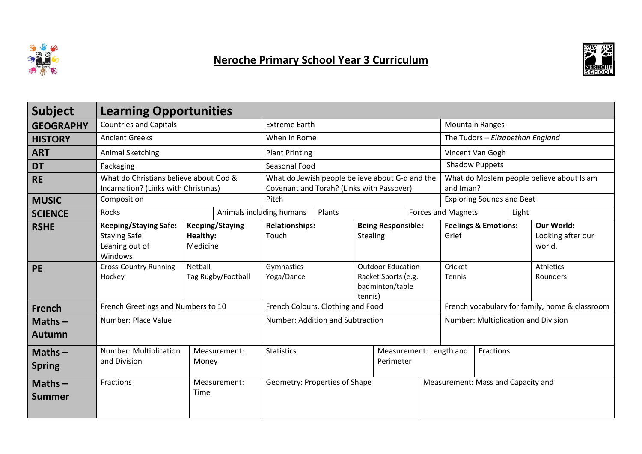

## Neroche Primary School Year 3 Curriculum



| <b>Subject</b>             | <b>Learning Opportunities</b>                                                    |                                                                                              |                                   |        |                                                                               |                                                |                                          |  |       |                                                  |
|----------------------------|----------------------------------------------------------------------------------|----------------------------------------------------------------------------------------------|-----------------------------------|--------|-------------------------------------------------------------------------------|------------------------------------------------|------------------------------------------|--|-------|--------------------------------------------------|
| <b>GEOGRAPHY</b>           | <b>Countries and Capitals</b>                                                    | <b>Extreme Earth</b>                                                                         |                                   |        | <b>Mountain Ranges</b>                                                        |                                                |                                          |  |       |                                                  |
| <b>HISTORY</b>             | <b>Ancient Greeks</b>                                                            |                                                                                              | When in Rome                      |        |                                                                               | The Tudors - Elizabethan England               |                                          |  |       |                                                  |
| <b>ART</b>                 | Animal Sketching                                                                 |                                                                                              | <b>Plant Printing</b>             |        |                                                                               | Vincent Van Gogh                               |                                          |  |       |                                                  |
| <b>DT</b>                  | Packaging                                                                        |                                                                                              | Seasonal Food                     |        |                                                                               | <b>Shadow Puppets</b>                          |                                          |  |       |                                                  |
| <b>RE</b>                  | What do Christians believe about God &<br>Incarnation? (Links with Christmas)    | What do Jewish people believe about G-d and the<br>Covenant and Torah? (Links with Passover) |                                   |        | What do Moslem people believe about Islam<br>and Iman?                        |                                                |                                          |  |       |                                                  |
| <b>MUSIC</b>               | Composition                                                                      | Pitch                                                                                        |                                   |        | <b>Exploring Sounds and Beat</b>                                              |                                                |                                          |  |       |                                                  |
| <b>SCIENCE</b>             | Rocks                                                                            |                                                                                              | Animals including humans          | Plants |                                                                               |                                                | <b>Forces and Magnets</b>                |  | Light |                                                  |
| <b>RSHE</b>                | <b>Keeping/Staying Safe:</b><br><b>Staying Safe</b><br>Leaning out of<br>Windows | <b>Keeping/Staying</b><br>Healthy:<br>Medicine                                               | <b>Relationships:</b><br>Touch    |        | <b>Being Responsible:</b><br>Stealing                                         |                                                | <b>Feelings &amp; Emotions:</b><br>Grief |  |       | <b>Our World:</b><br>Looking after our<br>world. |
| <b>PE</b>                  | <b>Cross-Country Running</b><br>Hockey                                           | Netball<br>Tag Rugby/Football                                                                | Gymnastics<br>Yoga/Dance          |        | <b>Outdoor Education</b><br>Racket Sports (e.g.<br>badminton/table<br>tennis) |                                                | Cricket<br><b>Tennis</b>                 |  |       | Athletics<br>Rounders                            |
| <b>French</b>              | French Greetings and Numbers to 10                                               |                                                                                              | French Colours, Clothing and Food |        |                                                                               | French vocabulary for family, home & classroom |                                          |  |       |                                                  |
| Maths $-$<br><b>Autumn</b> | Number: Place Value                                                              |                                                                                              | Number: Addition and Subtraction  |        |                                                                               | Number: Multiplication and Division            |                                          |  |       |                                                  |
| $Maths -$<br><b>Spring</b> | Number: Multiplication<br>and Division                                           | Measurement:<br>Money                                                                        | <b>Statistics</b><br>Perimeter    |        |                                                                               | Measurement: Length and<br>Fractions           |                                          |  |       |                                                  |
| Maths $-$<br>Summer        | Fractions                                                                        | Measurement:<br>Time                                                                         | Geometry: Properties of Shape     |        |                                                                               |                                                | Measurement: Mass and Capacity and       |  |       |                                                  |